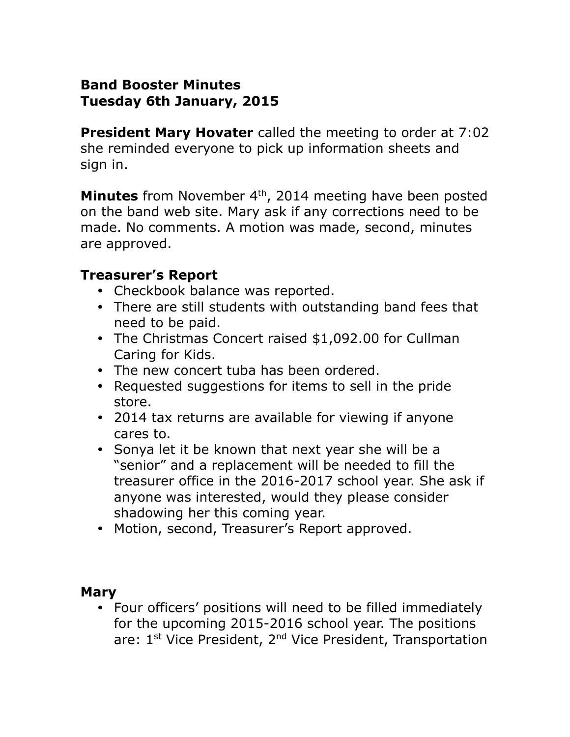### **Band Booster Minutes Tuesday 6th January, 2015**

**President Mary Hovater** called the meeting to order at 7:02 she reminded everyone to pick up information sheets and sign in.

**Minutes** from November 4<sup>th</sup>, 2014 meeting have been posted on the band web site. Mary ask if any corrections need to be made. No comments. A motion was made, second, minutes are approved.

### **Treasurer's Report**

- Checkbook balance was reported.
- There are still students with outstanding band fees that need to be paid.
- The Christmas Concert raised \$1,092.00 for Cullman Caring for Kids.
- The new concert tuba has been ordered.
- Requested suggestions for items to sell in the pride store.
- 2014 tax returns are available for viewing if anyone cares to.
- Sonya let it be known that next year she will be a "senior" and a replacement will be needed to fill the treasurer office in the 2016-2017 school year. She ask if anyone was interested, would they please consider shadowing her this coming year.
- Motion, second, Treasurer's Report approved.

#### **Mary**

• Four officers' positions will need to be filled immediately for the upcoming 2015-2016 school year. The positions are: 1<sup>st</sup> Vice President, 2<sup>nd</sup> Vice President, Transportation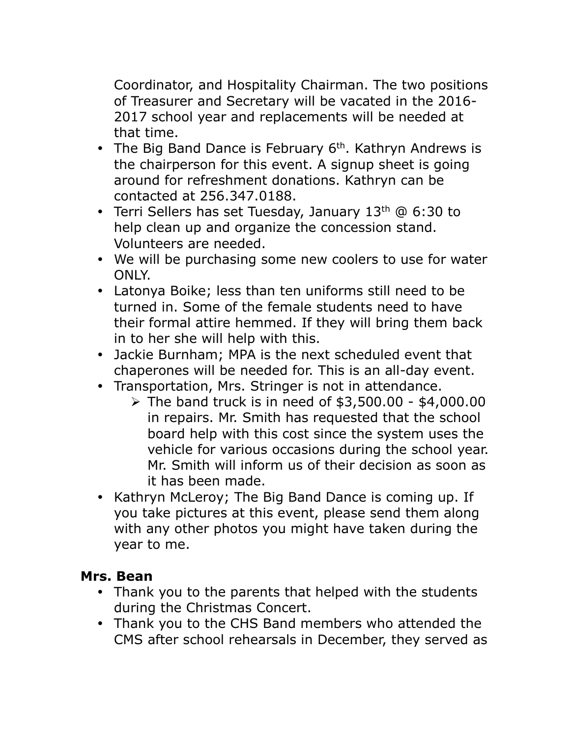Coordinator, and Hospitality Chairman. The two positions of Treasurer and Secretary will be vacated in the 2016- 2017 school year and replacements will be needed at that time.

- The Big Band Dance is February  $6<sup>th</sup>$ . Kathryn Andrews is the chairperson for this event. A signup sheet is going around for refreshment donations. Kathryn can be contacted at 256.347.0188.
- Terri Sellers has set Tuesday, January  $13<sup>th</sup>$  @ 6:30 to help clean up and organize the concession stand. Volunteers are needed.
- We will be purchasing some new coolers to use for water ONLY.
- Latonya Boike; less than ten uniforms still need to be turned in. Some of the female students need to have their formal attire hemmed. If they will bring them back in to her she will help with this.
- Jackie Burnham; MPA is the next scheduled event that chaperones will be needed for. This is an all-day event.
- Transportation, Mrs. Stringer is not in attendance.
	- $\triangleright$  The band truck is in need of \$3,500.00 \$4,000.00 in repairs. Mr. Smith has requested that the school board help with this cost since the system uses the vehicle for various occasions during the school year. Mr. Smith will inform us of their decision as soon as it has been made.
- Kathryn McLeroy; The Big Band Dance is coming up. If you take pictures at this event, please send them along with any other photos you might have taken during the year to me.

#### **Mrs. Bean**

- Thank you to the parents that helped with the students during the Christmas Concert.
- Thank you to the CHS Band members who attended the CMS after school rehearsals in December, they served as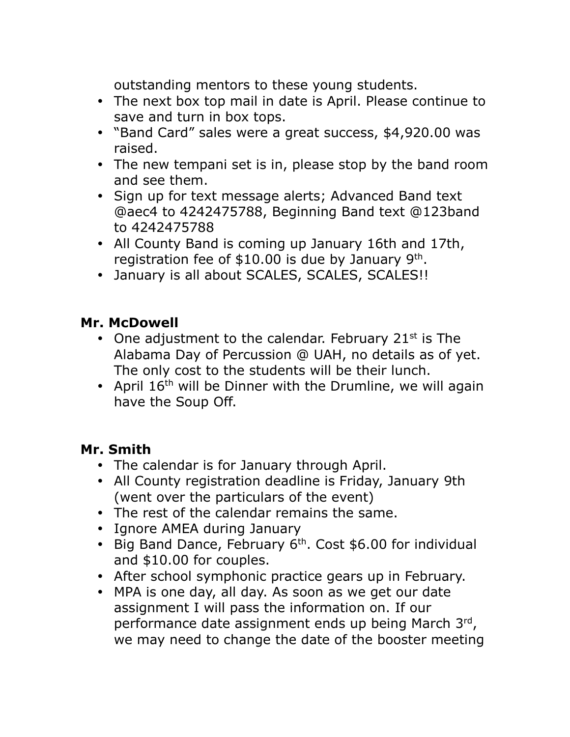outstanding mentors to these young students.

- The next box top mail in date is April. Please continue to save and turn in box tops.
- "Band Card" sales were a great success, \$4,920.00 was raised.
- The new tempani set is in, please stop by the band room and see them.
- Sign up for text message alerts; Advanced Band text @aec4 to 4242475788, Beginning Band text @123band to 4242475788
- All County Band is coming up January 16th and 17th, registration fee of  $$10.00$  is due by January 9<sup>th</sup>.
- January is all about SCALES, SCALES, SCALES !!

# **Mr. McDowell**

- One adjustment to the calendar. February 21 $st$  is The Alabama Day of Percussion @ UAH, no details as of yet. The only cost to the students will be their lunch.
- April  $16<sup>th</sup>$  will be Dinner with the Drumline, we will again have the Soup Off.

# **Mr. Smith**

- The calendar is for January through April.
- All County registration deadline is Friday, January 9th (went over the particulars of the event)
- The rest of the calendar remains the same.
- Ignore AMEA during January
- Big Band Dance, February  $6<sup>th</sup>$ . Cost \$6.00 for individual and \$10.00 for couples.
- After school symphonic practice gears up in February.
- MPA is one day, all day. As soon as we get our date assignment I will pass the information on. If our performance date assignment ends up being March 3rd, we may need to change the date of the booster meeting